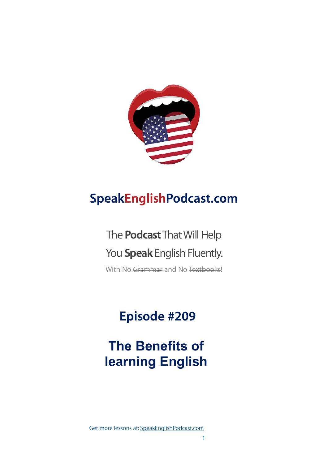

# **SpeakEnglishPodcast.com**

# The **Podcast** That Will Help You **Speak** English Fluently.

With No Grammar and No Textbooks!

# **Episode #209**

# **The Benefits of learning English**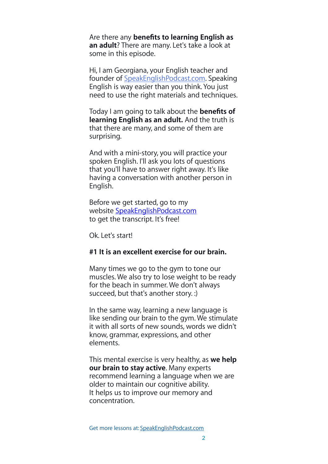Are there any **benefits to learning English as an adult**? There are many. Let's take a look at some in this episode.

Hi, I am Georgiana, your English teacher and founder of [SpeakEnglishPodcast.com](http://speakenglishpodcast.com/). Speaking English is way easier than you think. You just need to use the right materials and techniques.

Today I am going to talk about the **benefits of learning English as an adult.** And the truth is that there are many, and some of them are surprising.

And with a mini-story, you will practice your spoken English. I'll ask you lots of questions that you'll have to answer right away. It's like having a conversation with another person in English.

Before we get started, go to my website [SpeakEnglishPodcast.com](http://SpeakEnglishPodcast.com) to get the transcript. It's free!

Ok. Let's start!

## **#1 It is an excellent exercise for our brain.**

Many times we go to the gym to tone our muscles. We also try to lose weight to be ready for the beach in summer. We don't always succeed, but that's another story. :)

In the same way, learning a new language is like sending our brain to the gym. We stimulate it with all sorts of new sounds, words we didn't know, grammar, expressions, and other elements.

This mental exercise is very healthy, as **we help our brain to stay active**. Many experts recommend learning a language when we are older to maintain our cognitive ability. It helps us to improve our memory and concentration.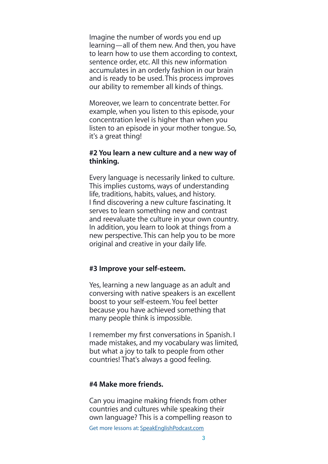Imagine the number of words you end up learning—all of them new. And then, you have to learn how to use them according to context, sentence order, etc. All this new information accumulates in an orderly fashion in our brain and is ready to be used. This process improves our ability to remember all kinds of things.

Moreover, we learn to concentrate better. For example, when you listen to this episode, your concentration level is higher than when you listen to an episode in your mother tongue. So, it's a great thing!

#### **#2 You learn a new culture and a new way of thinking.**

Every language is necessarily linked to culture. This implies customs, ways of understanding life, traditions, habits, values, and history. I find discovering a new culture fascinating. It serves to learn something new and contrast and reevaluate the culture in your own country. In addition, you learn to look at things from a new perspective. This can help you to be more original and creative in your daily life.

## **#3 Improve your self-esteem.**

Yes, learning a new language as an adult and conversing with native speakers is an excellent boost to your self-esteem. You feel better because you have achieved something that many people think is impossible.

I remember my first conversations in Spanish. I made mistakes, and my vocabulary was limited, but what a joy to talk to people from other countries! That's always a good feeling.

#### **#4 Make more friends.**

Can you imagine making friends from other countries and cultures while speaking their own language? This is a compelling reason to

Get more lessons at: [SpeakEnglishPodcast.com](https://www.speakenglishpod.com/)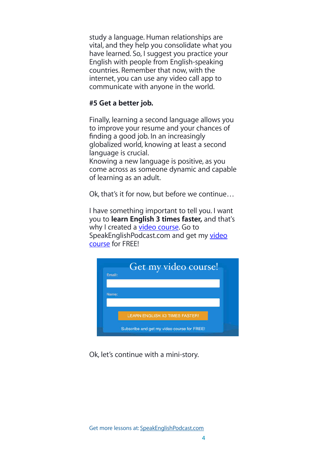study a language. Human relationships are vital, and they help you consolidate what you have learned. So, I suggest you practice your English with people from English-speaking countries. Remember that now, with the internet, you can use any video call app to communicate with anyone in the world.

# **#5 Get a better job.**

Finally, learning a second language allows you to improve your resume and your chances of finding a good job. In an increasingly globalized world, knowing at least a second language is crucial. Knowing a new language is positive, as you come across as someone dynamic and capable of learning as an adult.

Ok, that's it for now, but before we continue…

I have something important to tell you. I want you to **learn English 3 times faster,** and that's why I created a [video course](https://fluencythroughstories.lpages.co/method/). Go to SpeakEnglishPodcast.com and get my video [course](https://fluencythroughstories.lpages.co/method/) for FREE!



Ok, let's continue with a mini-story.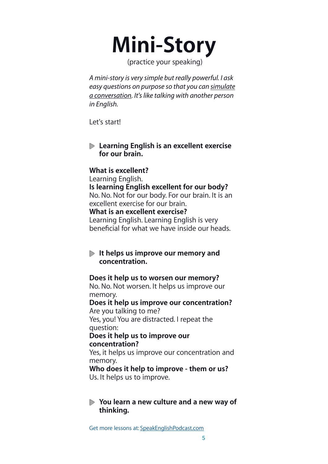# **Mini-Story**

(practice your speaking)

*A mini-story is very simple but really powerful. I ask easy questions on purpose so that you can simulate a conversation. It's like talking with another person in English.*

Let's start!

**Learning English is an excellent exercise for our brain.**

# **What is excellent?**

Learning English. **Is learning English excellent for our body?** No. No. Not for our body. For our brain. It is an excellent exercise for our brain. **What is an excellent exercise?** Learning English. Learning English is very beneficial for what we have inside our heads.

# **It helps us improve our memory and concentration.**

## **Does it help us to worsen our memory?**

No. No. Not worsen. It helps us improve our memory.

**Does it help us improve our concentration?** Are you talking to me? Yes, you! You are distracted. I repeat the

question:

#### **Does it help us to improve our concentration?**

Yes, it helps us improve our concentration and memory.

**Who does it help to improve - them or us?** Us. It helps us to improve.

# **You learn a new culture and a new way of thinking.**

Get more lessons at: [SpeakEnglishPodcast.com](https://www.speakenglishpod.com/)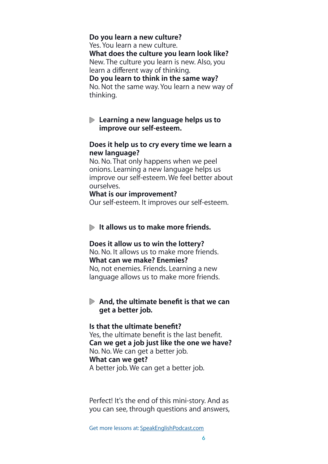**Do you learn a new culture?** Yes. You learn a new culture. **What does the culture you learn look like?** New. The culture you learn is new. Also, you learn a different way of thinking. **Do you learn to think in the same way?** No. Not the same way. You learn a new way of thinking.

#### **Learning a new language helps us to improve our self-esteem.**

#### **Does it help us to cry every time we learn a new language?**

No. No. That only happens when we peel onions. Learning a new language helps us improve our self-esteem. We feel better about ourselves.

#### **What is our improvement?**

Our self-esteem. It improves our self-esteem.

#### **It allows us to make more friends.**

#### **Does it allow us to win the lottery?**

No. No. It allows us to make more friends. **What can we make? Enemies?** No, not enemies. Friends. Learning a new language allows us to make more friends.

## **And, the ultimate benefit is that we can get a better job.**

#### **Is that the ultimate benefit?**

Yes, the ultimate benefit is the last benefit. **Can we get a job just like the one we have?** No. No. We can get a better job. **What can we get?** A better job. We can get a better job.

Perfect! It's the end of this mini-story. And as you can see, through questions and answers,

Get more lessons at: [SpeakEnglishPodcast.com](https://www.speakenglishpod.com/)